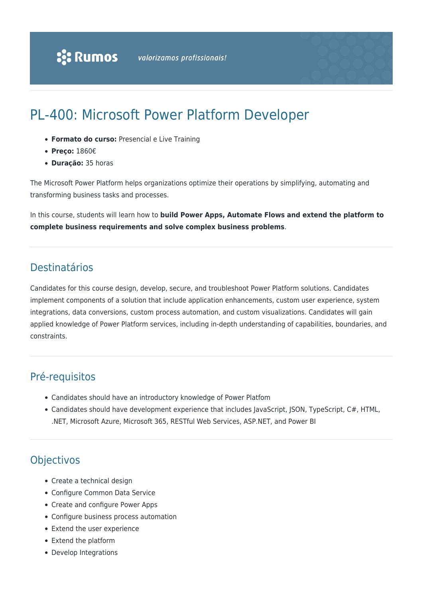# PL-400: Microsoft Power Platform Developer

- **Formato do curso:** Presencial e Live Training
- **Preço:** 1860€
- **Duração:** 35 horas

The Microsoft Power Platform helps organizations optimize their operations by simplifying, automating and transforming business tasks and processes.

In this course, students will learn how to **build Power Apps, Automate Flows and extend the platform to complete business requirements and solve complex business problems**.

## **Destinatários**

Candidates for this course design, develop, secure, and troubleshoot Power Platform solutions. Candidates implement components of a solution that include application enhancements, custom user experience, system integrations, data conversions, custom process automation, and custom visualizations. Candidates will gain applied knowledge of Power Platform services, including in-depth understanding of capabilities, boundaries, and constraints.

## Pré-requisitos

- Candidates should have an introductory knowledge of Power Platfom
- Candidates should have development experience that includes JavaScript, JSON, TypeScript, C#, HTML, .NET, Microsoft Azure, Microsoft 365, RESTful Web Services, ASP.NET, and Power BI

# Objectivos

- Create a technical design
- Configure Common Data Service
- Create and configure Power Apps
- Configure business process automation
- Extend the user experience
- Extend the platform
- Develop Integrations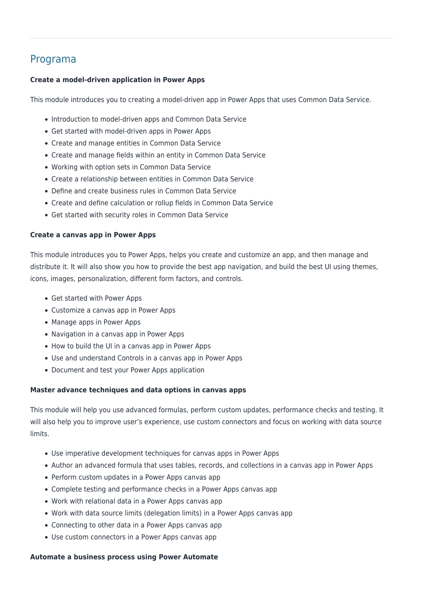### Programa

### **Create a model-driven application in Power Apps**

This module introduces you to creating a model-driven app in Power Apps that uses Common Data Service.

- Introduction to model-driven apps and Common Data Service
- Get started with model-driven apps in Power Apps
- Create and manage entities in Common Data Service
- Create and manage fields within an entity in Common Data Service
- Working with option sets in Common Data Service
- Create a relationship between entities in Common Data Service
- Define and create business rules in Common Data Service
- Create and define calculation or rollup fields in Common Data Service
- Get started with security roles in Common Data Service

#### **Create a canvas app in Power Apps**

This module introduces you to Power Apps, helps you create and customize an app, and then manage and distribute it. It will also show you how to provide the best app navigation, and build the best UI using themes, icons, images, personalization, different form factors, and controls.

- Get started with Power Apps
- Customize a canvas app in Power Apps
- Manage apps in Power Apps
- Navigation in a canvas app in Power Apps
- How to build the UI in a canvas app in Power Apps
- Use and understand Controls in a canvas app in Power Apps
- Document and test your Power Apps application

#### **Master advance techniques and data options in canvas apps**

This module will help you use advanced formulas, perform custom updates, performance checks and testing. It will also help you to improve user's experience, use custom connectors and focus on working with data source limits.

- Use imperative development techniques for canvas apps in Power Apps
- Author an advanced formula that uses tables, records, and collections in a canvas app in Power Apps
- Perform custom updates in a Power Apps canvas app
- Complete testing and performance checks in a Power Apps canvas app
- Work with relational data in a Power Apps canvas app
- Work with data source limits (delegation limits) in a Power Apps canvas app
- Connecting to other data in a Power Apps canvas app
- Use custom connectors in a Power Apps canvas app

#### **Automate a business process using Power Automate**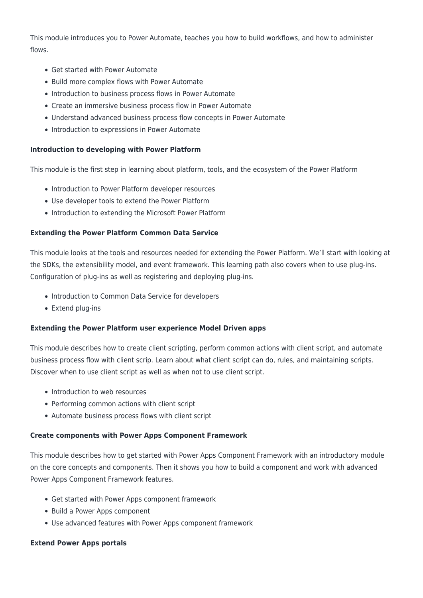This module introduces you to Power Automate, teaches you how to build workflows, and how to administer flows.

- Get started with Power Automate
- Build more complex flows with Power Automate
- Introduction to business process flows in Power Automate
- Create an immersive business process flow in Power Automate
- Understand advanced business process flow concepts in Power Automate
- Introduction to expressions in Power Automate

#### **Introduction to developing with Power Platform**

This module is the first step in learning about platform, tools, and the ecosystem of the Power Platform

- Introduction to Power Platform developer resources
- Use developer tools to extend the Power Platform
- Introduction to extending the Microsoft Power Platform

#### **Extending the Power Platform Common Data Service**

This module looks at the tools and resources needed for extending the Power Platform. We'll start with looking at the SDKs, the extensibility model, and event framework. This learning path also covers when to use plug-ins. Configuration of plug-ins as well as registering and deploying plug-ins.

- Introduction to Common Data Service for developers
- Extend plug-ins

#### **Extending the Power Platform user experience Model Driven apps**

This module describes how to create client scripting, perform common actions with client script, and automate business process flow with client scrip. Learn about what client script can do, rules, and maintaining scripts. Discover when to use client script as well as when not to use client script.

- Introduction to web resources
- Performing common actions with client script
- Automate business process flows with client script

#### **Create components with Power Apps Component Framework**

This module describes how to get started with Power Apps Component Framework with an introductory module on the core concepts and components. Then it shows you how to build a component and work with advanced Power Apps Component Framework features.

- Get started with Power Apps component framework
- Build a Power Apps component
- Use advanced features with Power Apps component framework

#### **Extend Power Apps portals**